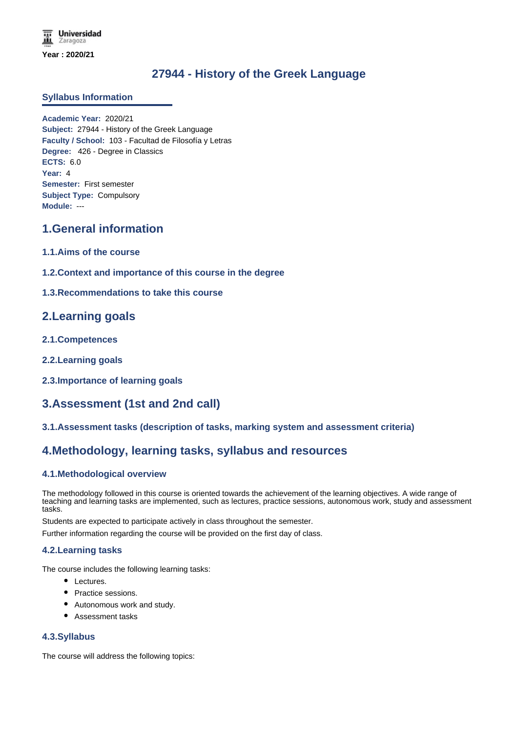## **27944 - History of the Greek Language**

### **Syllabus Information**

**Academic Year:** 2020/21 **Subject:** 27944 - History of the Greek Language **Faculty / School:** 103 - Facultad de Filosofía y Letras **Degree:** 426 - Degree in Classics **ECTS:** 6.0 **Year:** 4 **Semester:** First semester **Subject Type:** Compulsory **Module:** ---

## **1.General information**

- **1.1.Aims of the course**
- **1.2.Context and importance of this course in the degree**
- **1.3.Recommendations to take this course**

### **2.Learning goals**

- **2.1.Competences**
- **2.2.Learning goals**
- **2.3.Importance of learning goals**

# **3.Assessment (1st and 2nd call)**

**3.1.Assessment tasks (description of tasks, marking system and assessment criteria)**

### **4.Methodology, learning tasks, syllabus and resources**

### **4.1.Methodological overview**

The methodology followed in this course is oriented towards the achievement of the learning objectives. A wide range of teaching and learning tasks are implemented, such as lectures, practice sessions, autonomous work, study and assessment tasks.

Students are expected to participate actively in class throughout the semester.

Further information regarding the course will be provided on the first day of class.

### **4.2.Learning tasks**

The course includes the following learning tasks:

- Lectures.
- Practice sessions.
- Autonomous work and study.
- Assessment tasks

### **4.3.Syllabus**

The course will address the following topics: